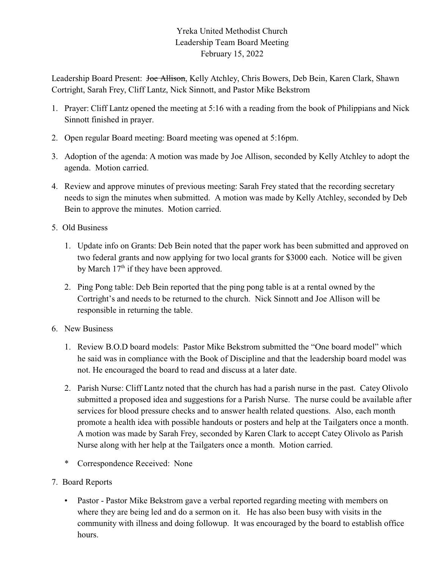## Yreka United Methodist Church Leadership Team Board Meeting February 15, 2022

Leadership Board Present: Joe Allison, Kelly Atchley, Chris Bowers, Deb Bein, Karen Clark, Shawn Cortright, Sarah Frey, Cliff Lantz, Nick Sinnott, and Pastor Mike Bekstrom

- 1. Prayer: Cliff Lantz opened the meeting at 5:16 with a reading from the book of Philippians and Nick Sinnott finished in prayer.
- 2. Open regular Board meeting: Board meeting was opened at 5:16pm.
- 3. Adoption of the agenda: A motion was made by Joe Allison, seconded by Kelly Atchley to adopt the agenda. Motion carried.
- 4. Review and approve minutes of previous meeting: Sarah Frey stated that the recording secretary needs to sign the minutes when submitted. A motion was made by Kelly Atchley, seconded by Deb Bein to approve the minutes. Motion carried.
- 5. Old Business
	- 1. Update info on Grants: Deb Bein noted that the paper work has been submitted and approved on two federal grants and now applying for two local grants for \$3000 each. Notice will be given by March  $17<sup>th</sup>$  if they have been approved.
	- 2. Ping Pong table: Deb Bein reported that the ping pong table is at a rental owned by the Cortright's and needs to be returned to the church. Nick Sinnott and Joe Allison will be responsible in returning the table.
- 6. New Business
	- 1. Review B.O.D board models: Pastor Mike Bekstrom submitted the "One board model" which he said was in compliance with the Book of Discipline and that the leadership board model was not. He encouraged the board to read and discuss at a later date.
	- 2. Parish Nurse: Cliff Lantz noted that the church has had a parish nurse in the past. Catey Olivolo submitted a proposed idea and suggestions for a Parish Nurse. The nurse could be available after services for blood pressure checks and to answer health related questions. Also, each month promote a health idea with possible handouts or posters and help at the Tailgaters once a month. A motion was made by Sarah Frey, seconded by Karen Clark to accept Catey Olivolo as Parish Nurse along with her help at the Tailgaters once a month. Motion carried.
	- \* Correspondence Received: None
- 7. Board Reports
	- Pastor Pastor Mike Bekstrom gave a verbal reported regarding meeting with members on where they are being led and do a sermon on it. He has also been busy with visits in the community with illness and doing followup. It was encouraged by the board to establish office hours.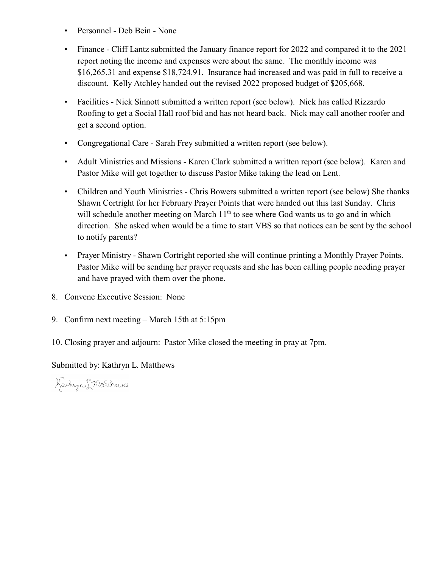- Personnel Deb Bein None
- Finance Cliff Lantz submitted the January finance report for 2022 and compared it to the 2021 report noting the income and expenses were about the same. The monthly income was \$16,265.31 and expense \$18,724.91. Insurance had increased and was paid in full to receive a discount. Kelly Atchley handed out the revised 2022 proposed budget of \$205,668.
- Facilities Nick Sinnott submitted a written report (see below). Nick has called Rizzardo Roofing to get a Social Hall roof bid and has not heard back. Nick may call another roofer and get a second option.
- Congregational Care Sarah Frey submitted a written report (see below).
- Adult Ministries and Missions Karen Clark submitted a written report (see below). Karen and Pastor Mike will get together to discuss Pastor Mike taking the lead on Lent.
- Children and Youth Ministries Chris Bowers submitted a written report (see below) She thanks Shawn Cortright for her February Prayer Points that were handed out this last Sunday. Chris will schedule another meeting on March  $11<sup>th</sup>$  to see where God wants us to go and in which direction. She asked when would be a time to start VBS so that notices can be sent by the school to notify parents?
- Prayer Ministry Shawn Cortright reported she will continue printing a Monthly Prayer Points. Pastor Mike will be sending her prayer requests and she has been calling people needing prayer and have prayed with them over the phone.
- 8. Convene Executive Session: None
- 9. Confirm next meeting March 15th at 5:15pm
- 10. Closing prayer and adjourn: Pastor Mike closed the meeting in pray at 7pm.

Submitted by: Kathryn L. Matthews

Kathyn & Marthews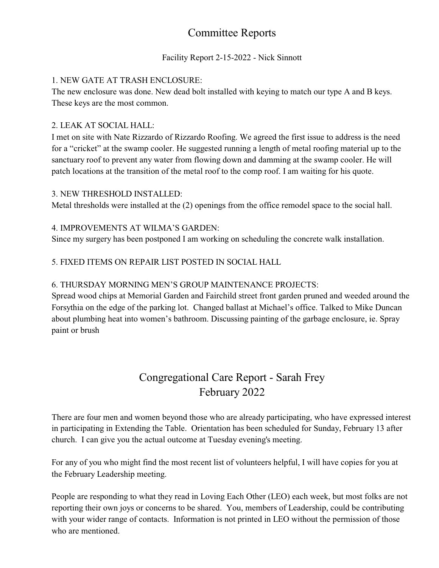## Committee Reports

## Facility Report 2-15-2022 - Nick Sinnott

### 1. NEW GATE AT TRASH ENCLOSURE:

The new enclosure was done. New dead bolt installed with keying to match our type A and B keys. These keys are the most common.

### 2. LEAK AT SOCIAL HALL:

I met on site with Nate Rizzardo of Rizzardo Roofing. We agreed the first issue to address is the need for a "cricket" at the swamp cooler. He suggested running a length of metal roofing material up to the sanctuary roof to prevent any water from flowing down and damming at the swamp cooler. He will patch locations at the transition of the metal roof to the comp roof. I am waiting for his quote.

#### 3. NEW THRESHOLD INSTALLED:

Metal thresholds were installed at the (2) openings from the office remodel space to the social hall.

#### 4. IMPROVEMENTS AT WILMA'S GARDEN:

Since my surgery has been postponed I am working on scheduling the concrete walk installation.

## 5. FIXED ITEMS ON REPAIR LIST POSTED IN SOCIAL HALL

### 6. THURSDAY MORNING MEN'S GROUP MAINTENANCE PROJECTS:

Spread wood chips at Memorial Garden and Fairchild street front garden pruned and weeded around the Forsythia on the edge of the parking lot. Changed ballast at Michael's office. Talked to Mike Duncan about plumbing heat into women's bathroom. Discussing painting of the garbage enclosure, ie. Spray paint or brush

## Congregational Care Report - Sarah Frey February 2022

There are four men and women beyond those who are already participating, who have expressed interest in participating in Extending the Table. Orientation has been scheduled for Sunday, February 13 after church. I can give you the actual outcome at Tuesday evening's meeting.

For any of you who might find the most recent list of volunteers helpful, I will have copies for you at the February Leadership meeting.

People are responding to what they read in Loving Each Other (LEO) each week, but most folks are not reporting their own joys or concerns to be shared. You, members of Leadership, could be contributing with your wider range of contacts. Information is not printed in LEO without the permission of those who are mentioned.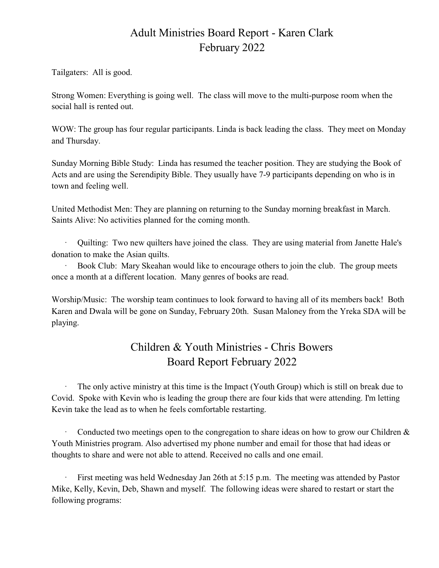## Adult Ministries Board Report - Karen Clark February 2022

Tailgaters: All is good.

Strong Women: Everything is going well. The class will move to the multi-purpose room when the social hall is rented out.

WOW: The group has four regular participants. Linda is back leading the class. They meet on Monday and Thursday.

Sunday Morning Bible Study: Linda has resumed the teacher position. They are studying the Book of Acts and are using the Serendipity Bible. They usually have 7-9 participants depending on who is in town and feeling well.

United Methodist Men: They are planning on returning to the Sunday morning breakfast in March. Saints Alive: No activities planned for the coming month.

· Quilting: Two new quilters have joined the class. They are using material from Janette Hale's donation to make the Asian quilts.

· Book Club: Mary Skeahan would like to encourage others to join the club. The group meets once a month at a different location. Many genres of books are read.

Worship/Music: The worship team continues to look forward to having all of its members back! Both Karen and Dwala will be gone on Sunday, February 20th. Susan Maloney from the Yreka SDA will be playing.

# Children & Youth Ministries - Chris Bowers Board Report February 2022

The only active ministry at this time is the Impact (Youth Group) which is still on break due to Covid. Spoke with Kevin who is leading the group there are four kids that were attending. I'm letting Kevin take the lead as to when he feels comfortable restarting.

Conducted two meetings open to the congregation to share ideas on how to grow our Children  $\&$ Youth Ministries program. Also advertised my phone number and email for those that had ideas or thoughts to share and were not able to attend. Received no calls and one email.

First meeting was held Wednesday Jan 26th at 5:15 p.m. The meeting was attended by Pastor Mike, Kelly, Kevin, Deb, Shawn and myself. The following ideas were shared to restart or start the following programs: